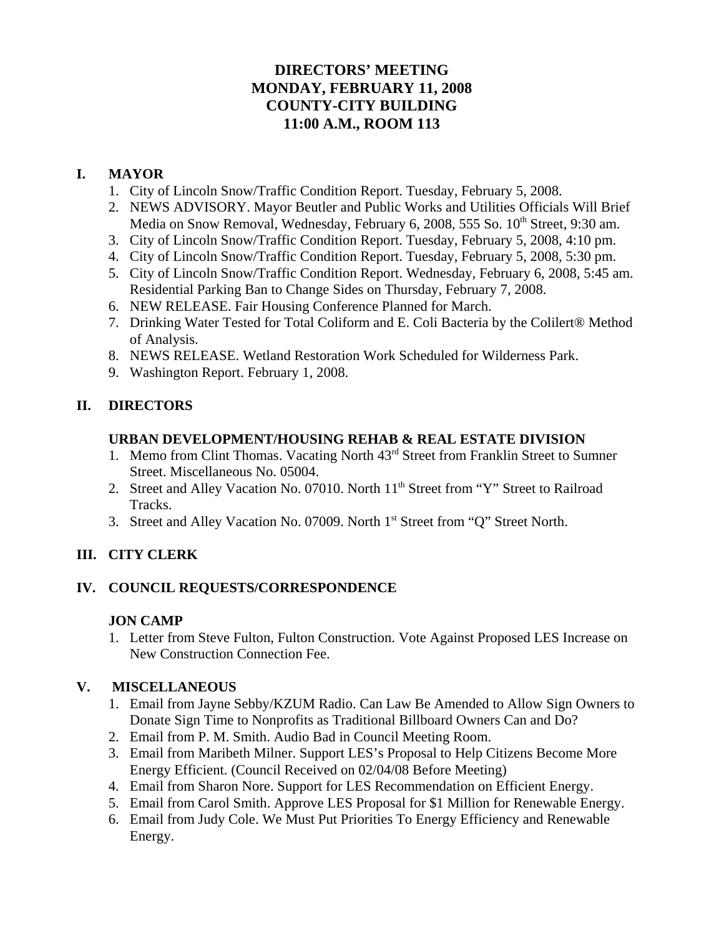# **DIRECTORS' MEETING MONDAY, FEBRUARY 11, 2008 COUNTY-CITY BUILDING 11:00 A.M., ROOM 113**

## **I. MAYOR**

- 1. City of Lincoln Snow/Traffic Condition Report. Tuesday, February 5, 2008.
- 2. NEWS ADVISORY. Mayor Beutler and Public Works and Utilities Officials Will Brief Media on Snow Removal, Wednesday, February 6, 2008, 555 So. 10<sup>th</sup> Street, 9:30 am.
- 3. City of Lincoln Snow/Traffic Condition Report. Tuesday, February 5, 2008, 4:10 pm.
- 4. City of Lincoln Snow/Traffic Condition Report. Tuesday, February 5, 2008, 5:30 pm.
- 5. City of Lincoln Snow/Traffic Condition Report. Wednesday, February 6, 2008, 5:45 am. Residential Parking Ban to Change Sides on Thursday, February 7, 2008.
- 6. NEW RELEASE. Fair Housing Conference Planned for March.
- 7. Drinking Water Tested for Total Coliform and E. Coli Bacteria by the Colilert® Method of Analysis.
- 8. NEWS RELEASE. Wetland Restoration Work Scheduled for Wilderness Park.
- 9. Washington Report. February 1, 2008.

### **II. DIRECTORS**

#### **URBAN DEVELOPMENT/HOUSING REHAB & REAL ESTATE DIVISION**

- 1. Memo from Clint Thomas. Vacating North 43rd Street from Franklin Street to Sumner Street. Miscellaneous No. 05004.
- 2. Street and Alley Vacation No. 07010. North 11<sup>th</sup> Street from "Y" Street to Railroad Tracks.
- 3. Street and Alley Vacation No. 07009. North 1<sup>st</sup> Street from "Q" Street North.

### **III. CITY CLERK**

### **IV. COUNCIL REQUESTS/CORRESPONDENCE**

### **JON CAMP**

1. Letter from Steve Fulton, Fulton Construction. Vote Against Proposed LES Increase on New Construction Connection Fee.

#### **V. MISCELLANEOUS**

- 1. Email from Jayne Sebby/KZUM Radio. Can Law Be Amended to Allow Sign Owners to Donate Sign Time to Nonprofits as Traditional Billboard Owners Can and Do?
- 2. Email from P. M. Smith. Audio Bad in Council Meeting Room.
- 3. Email from Maribeth Milner. Support LES's Proposal to Help Citizens Become More Energy Efficient. (Council Received on 02/04/08 Before Meeting)
- 4. Email from Sharon Nore. Support for LES Recommendation on Efficient Energy.
- 5. Email from Carol Smith. Approve LES Proposal for \$1 Million for Renewable Energy.
- 6. Email from Judy Cole. We Must Put Priorities To Energy Efficiency and Renewable Energy.